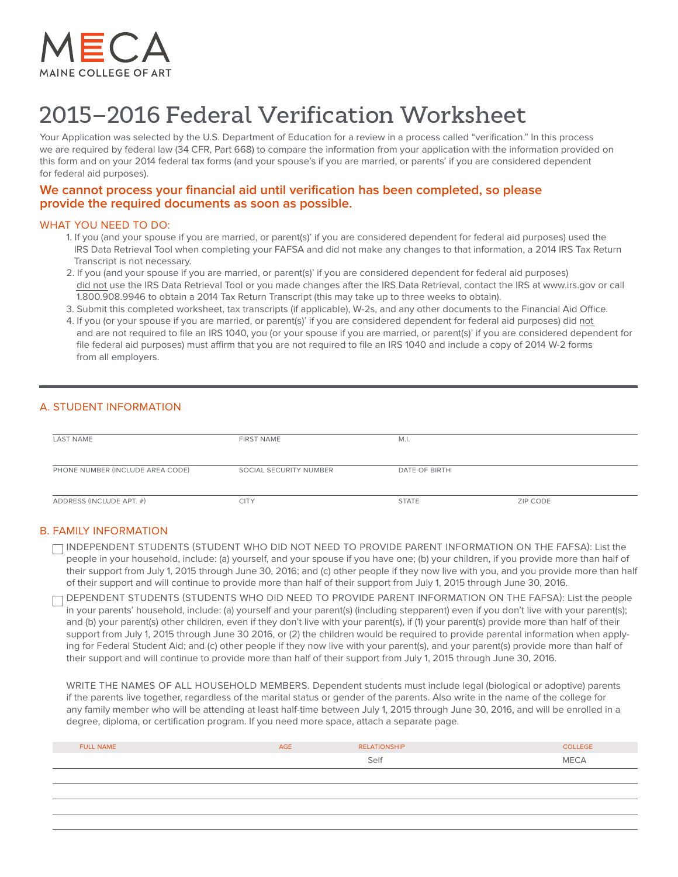

# 2015–2016 Federal Verification Worksheet

Your Application was selected by the U.S. Department of Education for a review in a process called "verification." In this process we are required by federal law (34 CFR, Part 668) to compare the information from your application with the information provided on this form and on your 2014 federal tax forms (and your spouse's if you are married, or parents' if you are considered dependent for federal aid purposes).

# **We cannot process your financial aid until verification has been completed, so please provide the required documents as soon as possible.**

#### WHAT YOU NEED TO DO:

- 1. If you (and your spouse if you are married, or parent(s)' if you are considered dependent for federal aid purposes) used the IRS Data Retrieval Tool when completing your FAFSA and did not make any changes to that information, a 2014 IRS Tax Return Transcript is not necessary.
- 2. If you (and your spouse if you are married, or parent(s)' if you are considered dependent for federal aid purposes) did not use the IRS Data Retrieval Tool or you made changes after the IRS Data Retrieval, contact the IRS at www.irs.gov or call 1.800.908.9946 to obtain a 2014 Tax Return Transcript (this may take up to three weeks to obtain).
- 3. Submit this completed worksheet, tax transcripts (if applicable), W-2s, and any other documents to the Financial Aid Office.
- 4. If you (or your spouse if you are married, or parent(s)' if you are considered dependent for federal aid purposes) did not and are not required to file an IRS 1040, you (or your spouse if you are married, or parent(s)' if you are considered dependent for file federal aid purposes) must affirm that you are not required to file an IRS 1040 and include a copy of 2014 W-2 forms from all employers.

## A. STUDENT INFORMATION

| <b>LAST NAME</b>                 | <b>FIRST NAME</b>      | M.I.          |          |
|----------------------------------|------------------------|---------------|----------|
|                                  |                        |               |          |
|                                  |                        |               |          |
| PHONE NUMBER (INCLUDE AREA CODE) | SOCIAL SECURITY NUMBER | DATE OF BIRTH |          |
|                                  |                        |               |          |
|                                  |                        |               |          |
| ADDRESS (INCLUDE APT. #)         | <b>CITY</b>            | <b>STATE</b>  | ZIP CODE |
|                                  |                        |               |          |

## B. FAMILY INFORMATION

TINDEPENDENT STUDENTS (STUDENT WHO DID NOT NEED TO PROVIDE PARENT INFORMATION ON THE FAFSA): List the people in your household, include: (a) yourself, and your spouse if you have one; (b) your children, if you provide more than half of their support from July 1, 2015 through June 30, 2016; and (c) other people if they now live with you, and you provide more than half of their support and will continue to provide more than half of their support from July 1, 2015 through June 30, 2016.

DEPENDENT STUDENTS (STUDENTS WHO DID NEED TO PROVIDE PARENT INFORMATION ON THE FAFSA): List the people in your parents' household, include: (a) yourself and your parent(s) (including stepparent) even if you don't live with your parent(s); and (b) your parent(s) other children, even if they don't live with your parent(s), if (1) your parent(s) provide more than half of their support from July 1, 2015 through June 30 2016, or (2) the children would be required to provide parental information when applying for Federal Student Aid; and (c) other people if they now live with your parent(s), and your parent(s) provide more than half of their support and will continue to provide more than half of their support from July 1, 2015 through June 30, 2016.

WRITE THE NAMES OF ALL HOUSEHOLD MEMBERS. Dependent students must include legal (biological or adoptive) parents if the parents live together, regardless of the marital status or gender of the parents. Also write in the name of the college for any family member who will be attending at least half-time between July 1, 2015 through June 30, 2016, and will be enrolled in a degree, diploma, or certification program. If you need more space, attach a separate page.

| <b>FULL NAME</b> | AGE | <b>RELATIONSHIP</b> | <b>COLLEGE</b> |
|------------------|-----|---------------------|----------------|
|                  |     | Self                | <b>MECA</b>    |
|                  |     |                     |                |
|                  |     |                     |                |
|                  |     |                     |                |
|                  |     |                     |                |